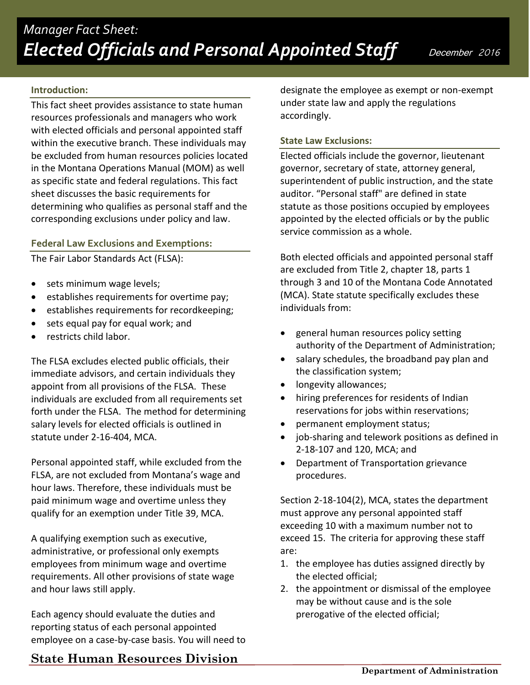## **Introduction:**

This fact sheet provides assistance to state human resources professionals and managers who work with elected officials and personal appointed staff within the executive branch. These individuals may be excluded from human resources policies located in the Montana Operations Manual (MOM) as well as specific state and federal regulations. This fact sheet discusses the basic requirements for determining who qualifies as personal staff and the corresponding exclusions under policy and law.

## **Federal Law Exclusions and Exemptions:**

The Fair Labor Standards Act (FLSA):

- sets minimum wage levels;
- establishes requirements for overtime pay;
- establishes requirements for recordkeeping;
- sets equal pay for equal work; and
- restricts child labor.

The FLSA excludes elected public officials, their immediate advisors, and certain individuals they appoint from all provisions of the FLSA. These individuals are excluded from all requirements set forth under the FLSA. The method for determining salary levels for elected officials is outlined in statute under 2-16-404, MCA.

Personal appointed staff, while excluded from the FLSA, are not excluded from Montana's wage and hour laws. Therefore, these individuals must be paid minimum wage and overtime unless they qualify for an exemption under Title 39, MCA.

A qualifying exemption such as executive, administrative, or professional only exempts employees from minimum wage and overtime requirements. All other provisions of state wage and hour laws still apply.

Each agency should evaluate the duties and reporting status of each personal appointed employee on a case-by-case basis. You will need to

## designate the employee as exempt or non-exempt under state law and apply the regulations accordingly.

## **State Law Exclusions:**

Elected officials include the governor, lieutenant governor, secretary of state, attorney general, superintendent of public instruction, and the state auditor. "Personal staff" are defined in state statute as those positions occupied by employees appointed by the elected officials or by the public service commission as a whole.

Both elected officials and appointed personal staff are excluded from Title 2, chapter 18, parts 1 through 3 and 10 of the Montana Code Annotated (MCA). State statute specifically excludes these individuals from:

- general human resources policy setting authority of the Department of Administration;
- salary schedules, the broadband pay plan and the classification system;
- longevity allowances;
- hiring preferences for residents of Indian reservations for jobs within reservations;
- permanent employment status;
- job-sharing and telework positions as defined in 2-18-107 and 120, MCA; and
- Department of Transportation grievance procedures.

Section 2-18-104(2), MCA, states the department must approve any personal appointed staff exceeding 10 with a maximum number not to exceed 15. The criteria for approving these staff are:

- 1. the employee has duties assigned directly by the elected official;
- 2. the appointment or dismissal of the employee may be without cause and is the sole prerogative of the elected official;

# **State Human Resources Division**